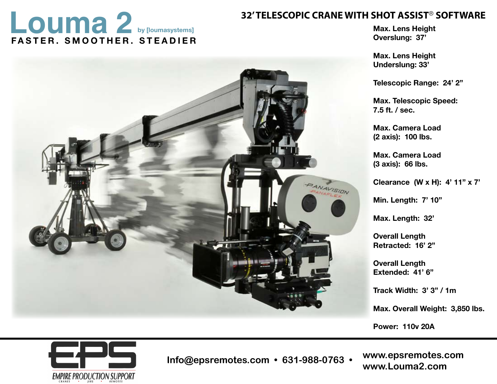## **Louma 2 by [loumasystems]**<br> **EASTER SMOOTHER STEADIER**<br> **STEADIER FASTER. SMOOTHER. STEADIER by [loumasystems]**

**Max. Lens Height Overslung: 37'**

**Max. Lens Height Underslung: 33'** 

**Telescopic Range: 24' 2"**

**Max. Telescopic Speed: 7.5 ft. / sec.**

**Max. Camera Load (2 axis): 100 lbs.**

**Max. Camera Load (3 axis): 66 lbs.**

**Clearance (W x H): 4' 11" x 7'**

**Min. Length: 7' 10"**

**Max. Length: 32'**

**Overall Length Retracted: 16' 2"**

**Overall Length Extended: 41' 6"**

**Track Width: 3' 3" / 1m**

**Max. Overall Weight: 3,850 lbs.**

**Power: 110v 20A** 



818.316.1080 **Info@epsremotes.com • 631-988-0763 • www.Louma2.com**

**www.panavision.com www.epsremotes.comwww.louma2.com**